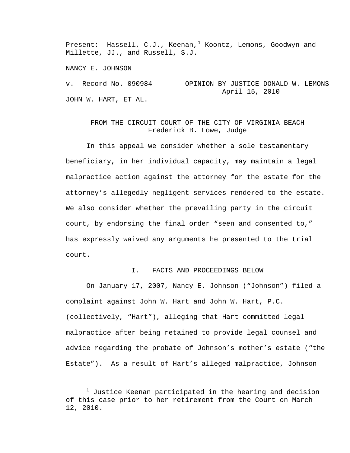Present: Hassell, C.J., Keenan,  $1$  Koontz, Lemons, Goodwyn and Millette, JJ., and Russell, S.J.

NANCY E. JOHNSON

v. Record No. 090984 OPINION BY JUSTICE DONALD W. LEMONS April 15, 2010 JOHN W. HART, ET AL.

# FROM THE CIRCUIT COURT OF THE CITY OF VIRGINIA BEACH Frederick B. Lowe, Judge

 In this appeal we consider whether a sole testamentary beneficiary, in her individual capacity, may maintain a legal malpractice action against the attorney for the estate for the attorney's allegedly negligent services rendered to the estate. We also consider whether the prevailing party in the circuit court, by endorsing the final order "seen and consented to," has expressly waived any arguments he presented to the trial court.

#### I. FACTS AND PROCEEDINGS BELOW

 On January 17, 2007, Nancy E. Johnson ("Johnson") filed a complaint against John W. Hart and John W. Hart, P.C. (collectively, "Hart"), alleging that Hart committed legal malpractice after being retained to provide legal counsel and advice regarding the probate of Johnson's mother's estate ("the Estate"). As a result of Hart's alleged malpractice, Johnson

<span id="page-0-0"></span><sup>&</sup>lt;u>1</u>  $1$  Justice Keenan participated in the hearing and decision of this case prior to her retirement from the Court on March 12, 2010.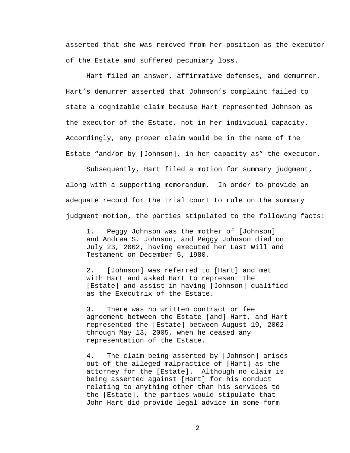asserted that she was removed from her position as the executor of the Estate and suffered pecuniary loss.

 Hart filed an answer, affirmative defenses, and demurrer. Hart's demurrer asserted that Johnson's complaint failed to state a cognizable claim because Hart represented Johnson as the executor of the Estate, not in her individual capacity. Accordingly, any proper claim would be in the name of the Estate "and/or by [Johnson], in her capacity as" the executor.

 Subsequently, Hart filed a motion for summary judgment, along with a supporting memorandum. In order to provide an adequate record for the trial court to rule on the summary judgment motion, the parties stipulated to the following facts:

1. Peggy Johnson was the mother of [Johnson] and Andrea S. Johnson, and Peggy Johnson died on July 23, 2002, having executed her Last Will and Testament on December 5, 1980.

2. [Johnson] was referred to [Hart] and met with Hart and asked Hart to represent the [Estate] and assist in having [Johnson] qualified as the Executrix of the Estate.

3. There was no written contract or fee agreement between the Estate [and] Hart, and Hart represented the [Estate] between August 19, 2002 through May 13, 2005, when he ceased any representation of the Estate.

4. The claim being asserted by [Johnson] arises out of the alleged malpractice of [Hart] as the attorney for the [Estate]. Although no claim is being asserted against [Hart] for his conduct relating to anything other than his services to the [Estate], the parties would stipulate that John Hart did provide legal advice in some form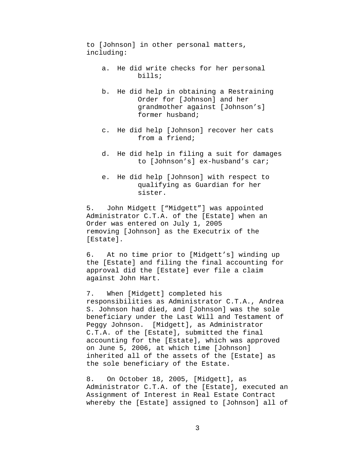to [Johnson] in other personal matters, including:

- a. He did write checks for her personal bills;
- b. He did help in obtaining a Restraining Order for [Johnson] and her grandmother against [Johnson's] former husband;
- c. He did help [Johnson] recover her cats from a friend;
- d. He did help in filing a suit for damages to [Johnson's] ex-husband's car;
- e. He did help [Johnson] with respect to qualifying as Guardian for her sister.

5. John Midgett ["Midgett"] was appointed Administrator C.T.A. of the [Estate] when an Order was entered on July 1, 2005 removing [Johnson] as the Executrix of the [Estate].

6. At no time prior to [Midgett's] winding up the [Estate] and filing the final accounting for approval did the [Estate] ever file a claim against John Hart.

7. When [Midgett] completed his responsibilities as Administrator C.T.A., Andrea S. Johnson had died, and [Johnson] was the sole beneficiary under the Last Will and Testament of Peggy Johnson. [Midgett], as Administrator C.T.A. of the [Estate], submitted the final accounting for the [Estate], which was approved on June 5, 2006, at which time [Johnson] inherited all of the assets of the [Estate] as the sole beneficiary of the Estate.

8. On October 18, 2005, [Midgett], as Administrator C.T.A. of the [Estate], executed an Assignment of Interest in Real Estate Contract whereby the [Estate] assigned to [Johnson] all of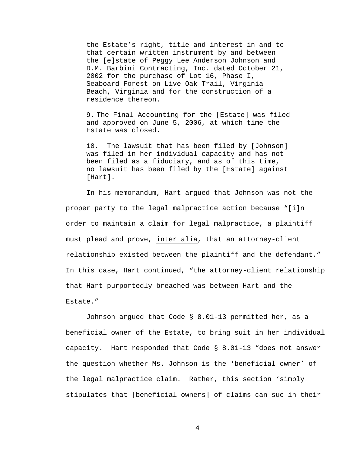the Estate's right, title and interest in and to that certain written instrument by and between the [e]state of Peggy Lee Anderson Johnson and D.M. Barbini Contracting, Inc. dated October 21, 2002 for the purchase of Lot 16, Phase I, Seaboard Forest on Live Oak Trail, Virginia Beach, Virginia and for the construction of a residence thereon.

9. The Final Accounting for the [Estate] was filed and approved on June 5, 2006, at which time the Estate was closed.

10. The lawsuit that has been filed by [Johnson] was filed in her individual capacity and has not been filed as a fiduciary, and as of this time, no lawsuit has been filed by the [Estate] against [Hart].

 In his memorandum, Hart argued that Johnson was not the proper party to the legal malpractice action because "[i]n order to maintain a claim for legal malpractice, a plaintiff must plead and prove, inter alia, that an attorney-client relationship existed between the plaintiff and the defendant." In this case, Hart continued, "the attorney-client relationship that Hart purportedly breached was between Hart and the Estate."

 Johnson argued that Code § 8.01-13 permitted her, as a beneficial owner of the Estate, to bring suit in her individual capacity. Hart responded that Code § 8.01-13 "does not answer the question whether Ms. Johnson is the 'beneficial owner' of the legal malpractice claim. Rather, this section 'simply stipulates that [beneficial owners] of claims can sue in their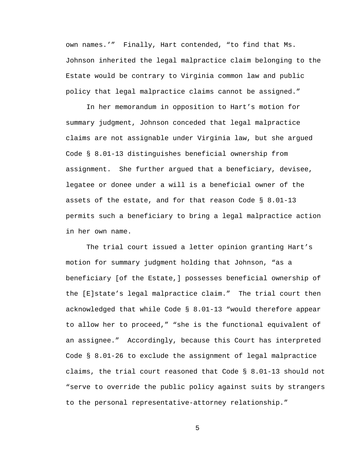own names.'" Finally, Hart contended, "to find that Ms. Johnson inherited the legal malpractice claim belonging to the Estate would be contrary to Virginia common law and public policy that legal malpractice claims cannot be assigned."

 In her memorandum in opposition to Hart's motion for summary judgment, Johnson conceded that legal malpractice claims are not assignable under Virginia law, but she argued Code § 8.01-13 distinguishes beneficial ownership from assignment. She further argued that a beneficiary, devisee, legatee or donee under a will is a beneficial owner of the assets of the estate, and for that reason Code § 8.01-13 permits such a beneficiary to bring a legal malpractice action in her own name.

 The trial court issued a letter opinion granting Hart's motion for summary judgment holding that Johnson, "as a beneficiary [of the Estate,] possesses beneficial ownership of the [E]state's legal malpractice claim." The trial court then acknowledged that while Code § 8.01-13 "would therefore appear to allow her to proceed," "she is the functional equivalent of an assignee." Accordingly, because this Court has interpreted Code § 8.01-26 to exclude the assignment of legal malpractice claims, the trial court reasoned that Code § 8.01-13 should not "serve to override the public policy against suits by strangers to the personal representative-attorney relationship."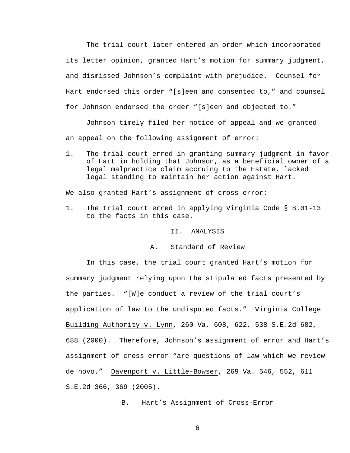The trial court later entered an order which incorporated its letter opinion, granted Hart's motion for summary judgment, and dismissed Johnson's complaint with prejudice. Counsel for Hart endorsed this order "[s]een and consented to," and counsel for Johnson endorsed the order "[s]een and objected to."

 Johnson timely filed her notice of appeal and we granted an appeal on the following assignment of error:

1. The trial court erred in granting summary judgment in favor of Hart in holding that Johnson, as a beneficial owner of a legal malpractice claim accruing to the Estate, lacked legal standing to maintain her action against Hart.

We also granted Hart's assignment of cross-error:

1. The trial court erred in applying Virginia Code § 8.01-13 to the facts in this case.

### II. ANALYSIS

A. Standard of Review

 In this case, the trial court granted Hart's motion for summary judgment relying upon the stipulated facts presented by the parties. "[W]e conduct a review of the trial court's application of law to the undisputed facts." Virginia College Building Authority v. Lynn, 260 Va. 608, 622, 538 S.E.2d 682, 688 (2000). Therefore, Johnson's assignment of error and Hart's assignment of cross-error "are questions of law which we review de novo." Davenport v. Little-Bowser, 269 Va. 546, 552, 611 S.E.2d 366, 369 (2005).

B. Hart's Assignment of Cross-Error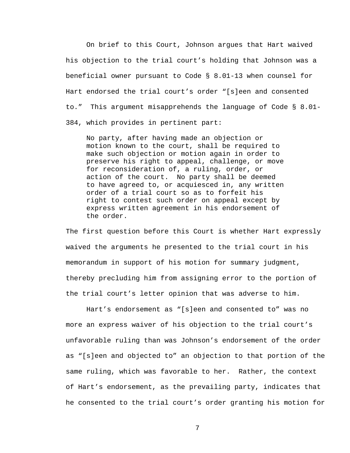On brief to this Court, Johnson argues that Hart waived his objection to the trial court's holding that Johnson was a beneficial owner pursuant to Code § 8.01-13 when counsel for Hart endorsed the trial court's order "[s]een and consented to." This argument misapprehends the language of Code § 8.01- 384, which provides in pertinent part:

No party, after having made an objection or motion known to the court, shall be required to make such objection or motion again in order to preserve his right to appeal, challenge, or move for reconsideration of, a ruling, order, or action of the court. No party shall be deemed to have agreed to, or acquiesced in, any written order of a trial court so as to forfeit his right to contest such order on appeal except by express written agreement in his endorsement of the order.

The first question before this Court is whether Hart expressly waived the arguments he presented to the trial court in his memorandum in support of his motion for summary judgment, thereby precluding him from assigning error to the portion of the trial court's letter opinion that was adverse to him.

 Hart's endorsement as "[s]een and consented to" was no more an express waiver of his objection to the trial court's unfavorable ruling than was Johnson's endorsement of the order as "[s]een and objected to" an objection to that portion of the same ruling, which was favorable to her. Rather, the context of Hart's endorsement, as the prevailing party, indicates that he consented to the trial court's order granting his motion for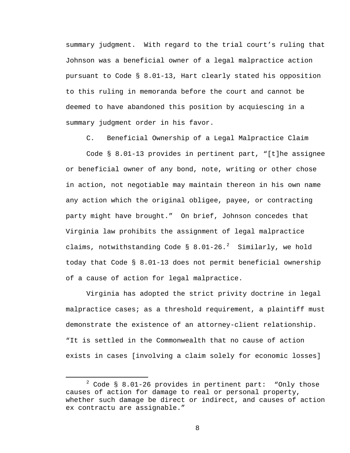summary judgment. With regard to the trial court's ruling that Johnson was a beneficial owner of a legal malpractice action pursuant to Code § 8.01-13, Hart clearly stated his opposition to this ruling in memoranda before the court and cannot be deemed to have abandoned this position by acquiescing in a summary judgment order in his favor.

C. Beneficial Ownership of a Legal Malpractice Claim

 Code § 8.01-13 provides in pertinent part, "[t]he assignee or beneficial owner of any bond, note, writing or other chose in action, not negotiable may maintain thereon in his own name any action which the original obligee, payee, or contracting party might have brought." On brief, Johnson concedes that Virginia law prohibits the assignment of legal malpractice claims, notwithstanding Code § 8.01-[2](#page-7-0)6.<sup>2</sup> Similarly, we hold today that Code § 8.01-13 does not permit beneficial ownership of a cause of action for legal malpractice.

 Virginia has adopted the strict privity doctrine in legal malpractice cases; as a threshold requirement, a plaintiff must demonstrate the existence of an attorney-client relationship. "It is settled in the Commonwealth that no cause of action exists in cases [involving a claim solely for economic losses]

<span id="page-7-0"></span> <sup>2</sup>  $2$  Code § 8.01-26 provides in pertinent part: "Only those causes of action for damage to real or personal property, whether such damage be direct or indirect, and causes of action ex contractu are assignable."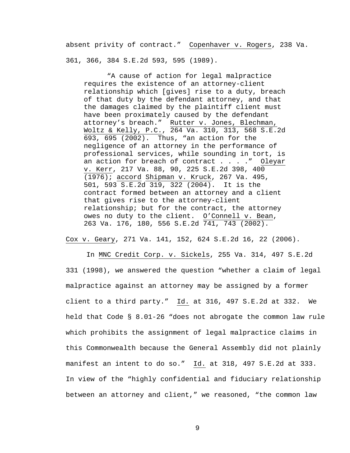absent privity of contract." Copenhaver v. Rogers, 238 Va. 361, 366, 384 S.E.2d 593, 595 (1989).

 "A cause of action for legal malpractice requires the existence of an attorney-client relationship which [gives] rise to a duty, breach of that duty by the defendant attorney, and that the damages claimed by the plaintiff client must have been proximately caused by the defendant attorney's breach." Rutter v. Jones, Blechman, Woltz & Kelly, P.C., 264 Va. 310, 313, 568 S.E.2d 693, 695 (2002). Thus, "an action for the negligence of an attorney in the performance of professional services, while sounding in tort, is an action for breach of contract . . . . " Oleyar v. Kerr, 217 Va. 88, 90, 225 S.E.2d 398, 400 (1976); accord Shipman v. Kruck, 267 Va. 495, 501, 593 S.E.2d 319, 322 (2004). It is the contract formed between an attorney and a client that gives rise to the attorney-client relationship; but for the contract, the attorney owes no duty to the client. O'Connell v. Bean, 263 Va. 176, 180, 556 S.E.2d 741, 743 (2002).

Cox v. Geary, 271 Va. 141, 152, 624 S.E.2d 16, 22 (2006).

 In MNC Credit Corp. v. Sickels, 255 Va. 314, 497 S.E.2d 331 (1998), we answered the question "whether a claim of legal malpractice against an attorney may be assigned by a former client to a third party."  $\underline{Id.}$  at 316, 497 S.E.2d at 332. We held that Code § 8.01-26 "does not abrogate the common law rule which prohibits the assignment of legal malpractice claims in this Commonwealth because the General Assembly did not plainly manifest an intent to do so." Id. at 318, 497 S.E.2d at 333. In view of the "highly confidential and fiduciary relationship between an attorney and client," we reasoned, "the common law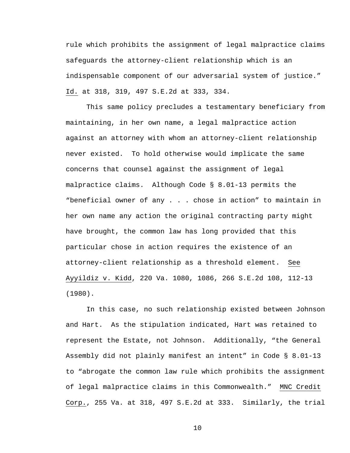rule which prohibits the assignment of legal malpractice claims safeguards the attorney-client relationship which is an indispensable component of our adversarial system of justice." Id. at 318, 319, 497 S.E.2d at 333, 334.

 This same policy precludes a testamentary beneficiary from maintaining, in her own name, a legal malpractice action against an attorney with whom an attorney-client relationship never existed. To hold otherwise would implicate the same concerns that counsel against the assignment of legal malpractice claims. Although Code § 8.01-13 permits the "beneficial owner of any . . . chose in action" to maintain in her own name any action the original contracting party might have brought, the common law has long provided that this particular chose in action requires the existence of an attorney-client relationship as a threshold element. See Ayyildiz v. Kidd, 220 Va. 1080, 1086, 266 S.E.2d 108, 112-13 (1980).

In this case, no such relationship existed between Johnson and Hart. As the stipulation indicated, Hart was retained to represent the Estate, not Johnson. Additionally, "the General Assembly did not plainly manifest an intent" in Code § 8.01-13 to "abrogate the common law rule which prohibits the assignment of legal malpractice claims in this Commonwealth." MNC Credit Corp., 255 Va. at 318, 497 S.E.2d at 333. Similarly, the trial